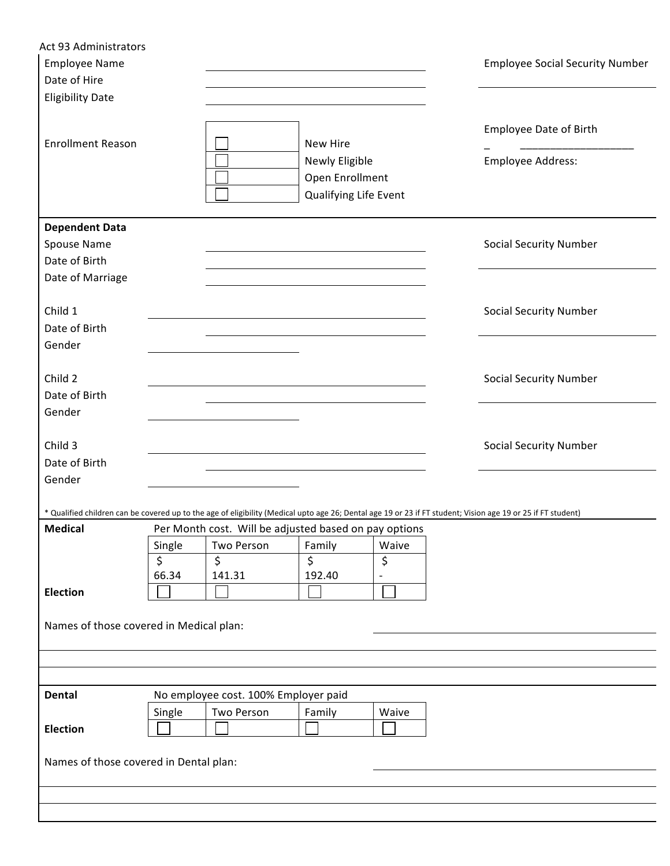| Act 93 Administrators<br><b>Employee Name</b>                                                                                                                |        |                                                       |                                                            |       | <b>Employee Social Security Number</b> |
|--------------------------------------------------------------------------------------------------------------------------------------------------------------|--------|-------------------------------------------------------|------------------------------------------------------------|-------|----------------------------------------|
| Date of Hire                                                                                                                                                 |        |                                                       |                                                            |       |                                        |
| <b>Eligibility Date</b>                                                                                                                                      |        |                                                       |                                                            |       |                                        |
| <b>Enrollment Reason</b>                                                                                                                                     |        |                                                       | New Hire                                                   |       | <b>Employee Date of Birth</b>          |
|                                                                                                                                                              |        |                                                       | Newly Eligible<br>Open Enrollment<br>Qualifying Life Event |       | Employee Address:                      |
| <b>Dependent Data</b>                                                                                                                                        |        |                                                       |                                                            |       |                                        |
| Spouse Name                                                                                                                                                  |        |                                                       |                                                            |       | <b>Social Security Number</b>          |
| Date of Birth                                                                                                                                                |        |                                                       |                                                            |       |                                        |
| Date of Marriage                                                                                                                                             |        |                                                       |                                                            |       |                                        |
| Child 1                                                                                                                                                      |        |                                                       |                                                            |       | <b>Social Security Number</b>          |
| Date of Birth                                                                                                                                                |        |                                                       |                                                            |       |                                        |
| Gender                                                                                                                                                       |        |                                                       |                                                            |       |                                        |
| Child 2                                                                                                                                                      |        |                                                       |                                                            |       | <b>Social Security Number</b>          |
| Date of Birth                                                                                                                                                |        |                                                       |                                                            |       |                                        |
| Gender                                                                                                                                                       |        |                                                       |                                                            |       |                                        |
| Child 3                                                                                                                                                      |        |                                                       |                                                            |       | <b>Social Security Number</b>          |
| Date of Birth                                                                                                                                                |        |                                                       |                                                            |       |                                        |
| Gender                                                                                                                                                       |        |                                                       |                                                            |       |                                        |
| * Qualified children can be covered up to the age of eligibility (Medical upto age 26; Dental age 19 or 23 if FT student; Vision age 19 or 25 if FT student) |        |                                                       |                                                            |       |                                        |
| <b>Medical</b>                                                                                                                                               |        | Per Month cost. Will be adjusted based on pay options |                                                            |       |                                        |
|                                                                                                                                                              | Single | Two Person                                            | Family                                                     | Waive |                                        |
|                                                                                                                                                              | \$     | \$                                                    | \$                                                         | \$    |                                        |
|                                                                                                                                                              | 66.34  | 141.31                                                | 192.40                                                     |       |                                        |
| <b>Election</b>                                                                                                                                              |        |                                                       |                                                            |       |                                        |
| Names of those covered in Medical plan:                                                                                                                      |        |                                                       |                                                            |       |                                        |
|                                                                                                                                                              |        |                                                       |                                                            |       |                                        |
|                                                                                                                                                              |        |                                                       |                                                            |       |                                        |
|                                                                                                                                                              |        |                                                       |                                                            |       |                                        |
| <b>Dental</b>                                                                                                                                                |        | No employee cost. 100% Employer paid                  |                                                            |       |                                        |
| <b>Election</b>                                                                                                                                              | Single | Two Person                                            | Family                                                     | Waive |                                        |
| Names of those covered in Dental plan:                                                                                                                       |        |                                                       |                                                            |       |                                        |
|                                                                                                                                                              |        |                                                       |                                                            |       |                                        |
|                                                                                                                                                              |        |                                                       |                                                            |       |                                        |
|                                                                                                                                                              |        |                                                       |                                                            |       |                                        |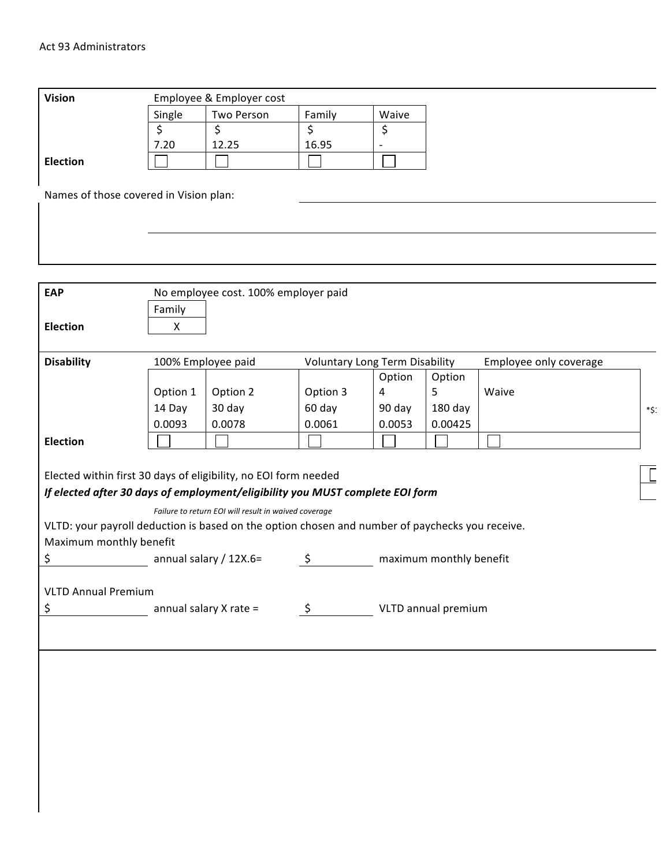| <b>Vision</b>                          |        | Employee & Employer cost |        |       |
|----------------------------------------|--------|--------------------------|--------|-------|
|                                        | Single | Two Person               | Family | Waive |
|                                        |        |                          |        | \$    |
|                                        | 7.20   | 12.25                    | 16.95  |       |
| <b>Election</b>                        |        |                          |        |       |
| Names of those covered in Vision plan: |        |                          |        |       |
|                                        |        |                          |        |       |
|                                        |        |                          |        |       |
|                                        |        |                          |        |       |

| <b>EAP</b>                                                                                      |                                                                 | No employee cost. 100% employer paid                 |                                       |                         |         |                        |      |  |  |
|-------------------------------------------------------------------------------------------------|-----------------------------------------------------------------|------------------------------------------------------|---------------------------------------|-------------------------|---------|------------------------|------|--|--|
|                                                                                                 | Family                                                          |                                                      |                                       |                         |         |                        |      |  |  |
| <b>Election</b>                                                                                 | $\mathsf{X}$                                                    |                                                      |                                       |                         |         |                        |      |  |  |
|                                                                                                 |                                                                 |                                                      |                                       |                         |         |                        |      |  |  |
| <b>Disability</b>                                                                               |                                                                 | 100% Employee paid                                   | <b>Voluntary Long Term Disability</b> |                         |         | Employee only coverage |      |  |  |
|                                                                                                 |                                                                 |                                                      |                                       | Option                  | Option  |                        |      |  |  |
|                                                                                                 | Option 1                                                        | Option 2                                             | Option 3                              | $\overline{4}$          | 5       | Waive                  |      |  |  |
|                                                                                                 | 14 Day                                                          | 30 day                                               | 60 day                                | 90 day                  | 180 day |                        | *\$: |  |  |
|                                                                                                 | 0.0093                                                          | 0.0078                                               | 0.0061                                | 0.0053                  | 0.00425 |                        |      |  |  |
| <b>Election</b>                                                                                 |                                                                 |                                                      |                                       |                         |         |                        |      |  |  |
|                                                                                                 |                                                                 |                                                      |                                       |                         |         |                        |      |  |  |
|                                                                                                 | Elected within first 30 days of eligibility, no EOI form needed |                                                      |                                       |                         |         |                        |      |  |  |
| If elected after 30 days of employment/eligibility you MUST complete EOI form                   |                                                                 |                                                      |                                       |                         |         |                        |      |  |  |
|                                                                                                 |                                                                 | Failure to return EOI will result in waived coverage |                                       |                         |         |                        |      |  |  |
| VLTD: your payroll deduction is based on the option chosen and number of paychecks you receive. |                                                                 |                                                      |                                       |                         |         |                        |      |  |  |
| Maximum monthly benefit                                                                         |                                                                 |                                                      |                                       |                         |         |                        |      |  |  |
| \$                                                                                              |                                                                 | annual salary / 12X.6=                               | \$                                    | maximum monthly benefit |         |                        |      |  |  |
|                                                                                                 |                                                                 |                                                      |                                       |                         |         |                        |      |  |  |
| <b>VLTD Annual Premium</b>                                                                      |                                                                 |                                                      | VLTD annual premium                   |                         |         |                        |      |  |  |
| \$                                                                                              | annual salary X rate =                                          |                                                      | Ş.                                    |                         |         |                        |      |  |  |
|                                                                                                 |                                                                 |                                                      |                                       |                         |         |                        |      |  |  |
|                                                                                                 |                                                                 |                                                      |                                       |                         |         |                        |      |  |  |
|                                                                                                 |                                                                 |                                                      |                                       |                         |         |                        |      |  |  |
|                                                                                                 |                                                                 |                                                      |                                       |                         |         |                        |      |  |  |
|                                                                                                 |                                                                 |                                                      |                                       |                         |         |                        |      |  |  |
|                                                                                                 |                                                                 |                                                      |                                       |                         |         |                        |      |  |  |
|                                                                                                 |                                                                 |                                                      |                                       |                         |         |                        |      |  |  |
|                                                                                                 |                                                                 |                                                      |                                       |                         |         |                        |      |  |  |
|                                                                                                 |                                                                 |                                                      |                                       |                         |         |                        |      |  |  |
|                                                                                                 |                                                                 |                                                      |                                       |                         |         |                        |      |  |  |
|                                                                                                 |                                                                 |                                                      |                                       |                         |         |                        |      |  |  |
|                                                                                                 |                                                                 |                                                      |                                       |                         |         |                        |      |  |  |